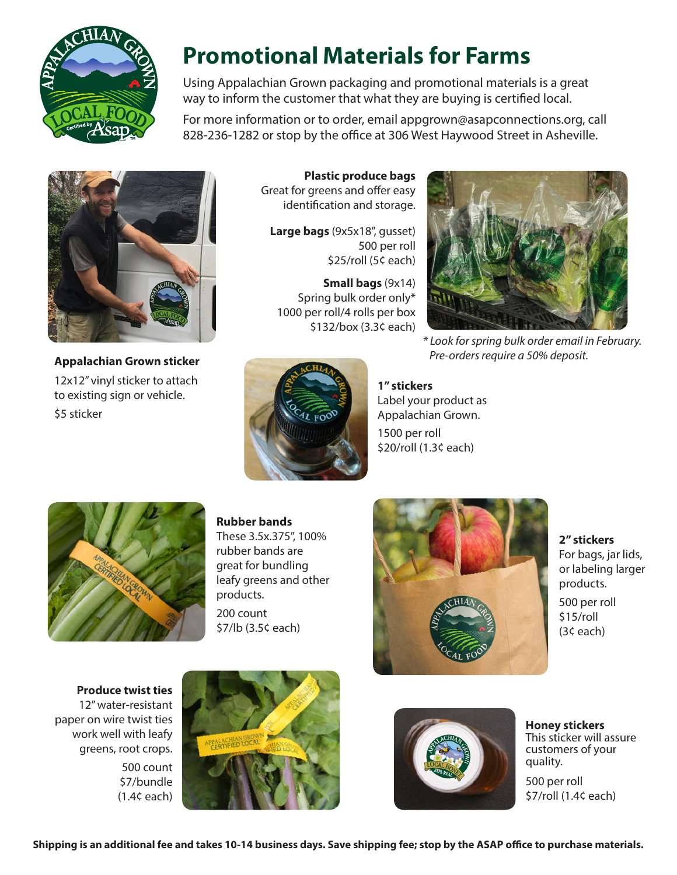

# **Promotional Materials for Farms**

Using Appalachian Grown packaging and promotional materials is a great way to inform the customer that what they are buying is certified local.

For more information or to order, email appgrown@asapconnections.org, call 828-236-1282 or stop by the office at 306 West Haywood Street in Asheville.



**Appalachian Grown sticker** 12x12" vinyl sticker to attach to existing sign or vehicle. \$5 sticker

**Plastic produce bags** Great for greens and offer easy identification and storage.

**Large bags** (9x5x18", gusset) 500 per roll \$25/roll (5¢ each)

**Small bags** (9x14) Spring bulk order only\* 1000 per roll/4 rolls per box \$132/box (3.3¢ each)



*\* Look for spring bulk order email in February. Pre-orders require a 50% deposit.*



**1" stickers** Label your product as Appalachian Grown. 1500 per roll \$20/roll (1.3¢ each)



**Rubber bands**

These 3.5x.375", 100% rubber bands are great for bundling leafy greens and other products. 200 count \$7/lb (3.5¢ each)



**2" stickers** For bags, jar lids, or labeling larger products. 500 per roll \$15/roll (3¢ each)

**Produce twist ties** 12" water-resistant paper on wire twist ties work well with leafy greens, root crops. 500 count \$7/bundle (1.4¢ each)





**Honey stickers**  This sticker will assure customers of your quality.

500 per roll \$7/roll (1.4¢ each)